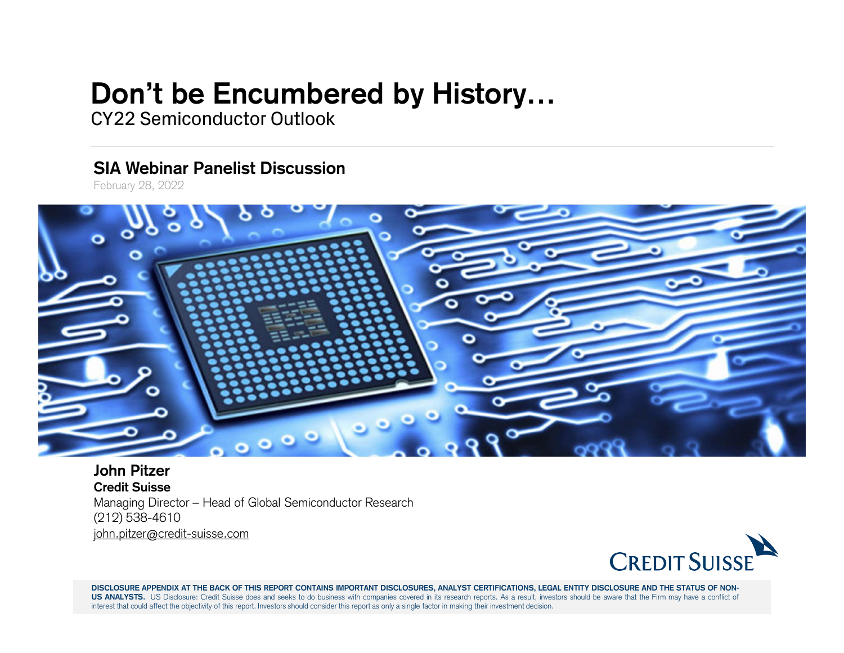## Don't be Encumbered by History…

CY22 Semiconductor Outlook

SIA Webinar Panelist Discussion

February 28, 2022



John Pitzer Credit Suisse (212) 538-4610 john.pitzer@credit-suisse.com FOR DISCLOSURE APPENDIX AT THE BACK OF THIS REPORT CONTAINS IMPORTANT DISCLOSURES, ANALYST CERTIFICATIONS, LEGAL ENTITY DISCLOSURE AND THE STATUS OF NON-<br>DISCLOSURE APPENDIX AT THE BACK OF THIS REPORT CONTAINS IMPORTANT DI US ANALYSTS. USING THE BACK OF THIS REPORT CONTAINS IMPORTANT DISCLOSURES, ANALYST CERTIFICATIONS, LEGAL ENTITY DISCLOSURE AND THE STATUS OF NON-<br>DISCLOSURE APPENDIX AT THE BACK OF THIS REPORT CONTAINS IMPORTANT DISCLOSURE **Credit Suisse**<br>
Managing Director — Head of Global Semiconductor Research<br>
(212) 538-4610<br>
<u>John.pitzer@credit-suisse.com</u><br> **DISCLOSURE APPENDIX AT THE BACK OF THIS REPORT CONTAINS IMPORTANT DISCLOSURES, ANALYST CERTIFICA** 

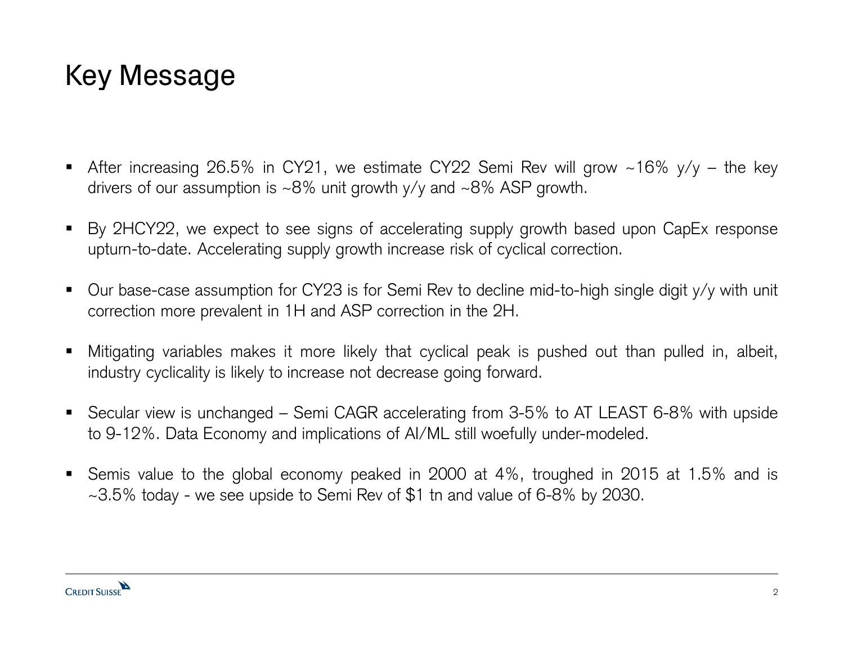## Key Message

- **Key Message**<br>• After increasing 26.5% in CY21, we estimate CY22 Semi Rev will grow ~16% y/y the key<br>drivers of our assumption is ~8% unit growth y/y and ~8% ASP growth. **and Message**<br>After increasing 26.5% in CY21, we estimate CY22 Semi Rev will grow ~16% y/y<br>drivers of our assumption is ~8% unit growth y/y and ~8% ASP growth.<br>By 2HCY22, we expect to see signs of esselecting supply growt After increasing 26.5% in CY21, we estimate CY22 Semi Rev will grow ~16%  $y/y$  – the key drivers of our assumption is ~8% unit growth  $y/y$  and ~8% ASP growth.<br>By 2HCY22, we expect to see signs of accelerating supply growth After increasing 26.5% in CY21, we estimate CY22 Semi Rev will grow ~16% y/y – drivers of our assumption is ~8% unit growth y/y and ~8% ASP growth.<br>By 2HCY22, we expect to see signs of accelerating supply growth based upo
- After increasing 26.5% in CY21, we estimate CY22 Semi Rev will grow ~16%  $y/y$  the key drivers of our assumption is ~8% unit growth  $y/y$  and ~8% ASP growth.<br>
 By 2HCY22, we expect to see signs of accelerating supply g drivers of our assumption is ~8% unit growth y/y and ~8% ASP growth.<br>By 2HCY22, we expect to see signs of accelerating supply growth based upon<br>upturn-to-date. Accelerating supply growth increase risk of cyclical correctio
- By 2HCY22, we expect to see signs of accelerating supply growth based upon CapEx response upturn-to-date. Accelerating supply growth increase risk of cyclical correction.<br>■ Our base-case assumption for CY23 is for Semi upturn-to-date. Accelerating supply growth increase risk of cyclical correction.<br>Our base-case assumption for CY23 is for Semi Rev to decline mid-to-high single<br>correction more prevalent in 1H and ASP correction in the 2H.
- 
- Our base-case assumption for CY23 is for Semi Rev to decline mid-to-high single digit y/y with unit<br>correction more prevalent in 1H and ASP correction in the 2H.<br>■ Mitigating variables makes it more likely that cyclical correction more prevalent in 1H and ASP correction in the 2H.<br>Mitigating variables makes it more likely that cyclical peak is pushed out than pulled<br>industry cyclicality is likely to increase not decrease going forward.<br>Se Mitigating variables makes it more likely that cyclical peak is pushed out than pulled in, albeit,<br>industry cyclicality is likely to increase not decrease going forward.<br>Secular view is unchanged – Semi CAGR accelerating industry cyclicality is likely to increase not decrease going forward.<br>Secular view is unchanged – Semi CAGR accelerating from 3-5% to AT LEAST 6-8% with upside<br>to 9-12%. Data Economy and implications of AI/ML still woeful
- 

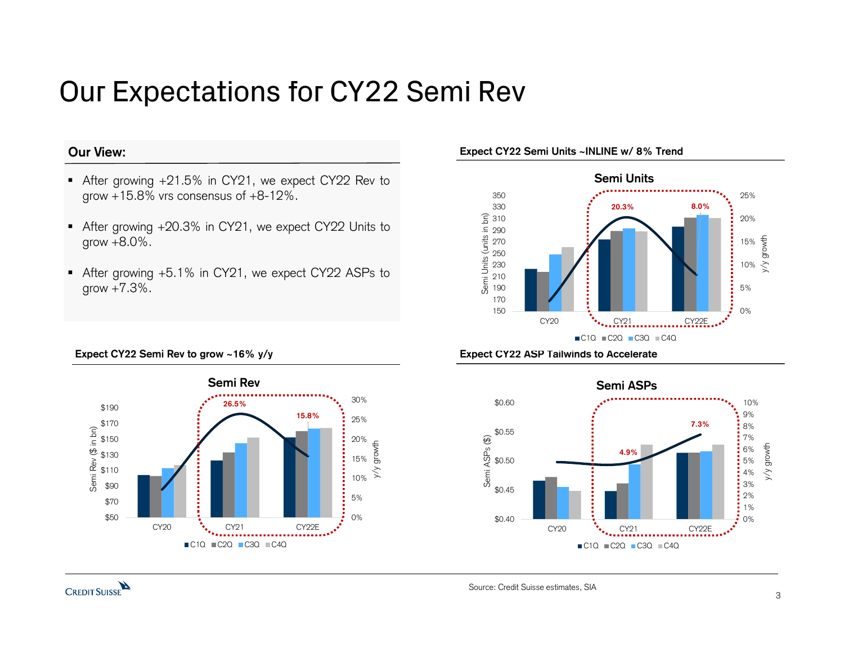## Our Expectations for CY22 Semi Rev Our Expectations for CY22 Semi Rev<br>
Our View:<br>
After growing +21.5% in CY21, we expect CY22 Rev to<br>
grow +15.8% vrs consensus of +8-12%. **DUT Expectations for CY22 Semi Rev**<br> **grow +15.8% vrs consensus of +8-12%.**<br>
• After growing +20.3% in CY21, we expect CY22 Rev to<br> **grow +15.8% vrs consensus of +8-12%.**<br>
• After growing +20.3% in CY21, we expect CY22 U

## Our View:

CREDIT SUISSE

- 
- 
- After growing +21.5% in CY21, we grow +15.8% vrs consensus of +8-12<br>grow +15.8% vrs consensus of +8-12<br>After growing +20.3% in CY21, we e<br>grow +8.0%.<br>After growing +5.1% in CY21, we ex<br>grow +7.3%.

Expect CY22 Semi Rev to grow ~16% y/y



## Expect CY22 Semi Units ~INLINE w/ 8% Trend



## Expect CY22 ASP Tailwinds to Accelerate



Source: Credit Suisse estimates, SIA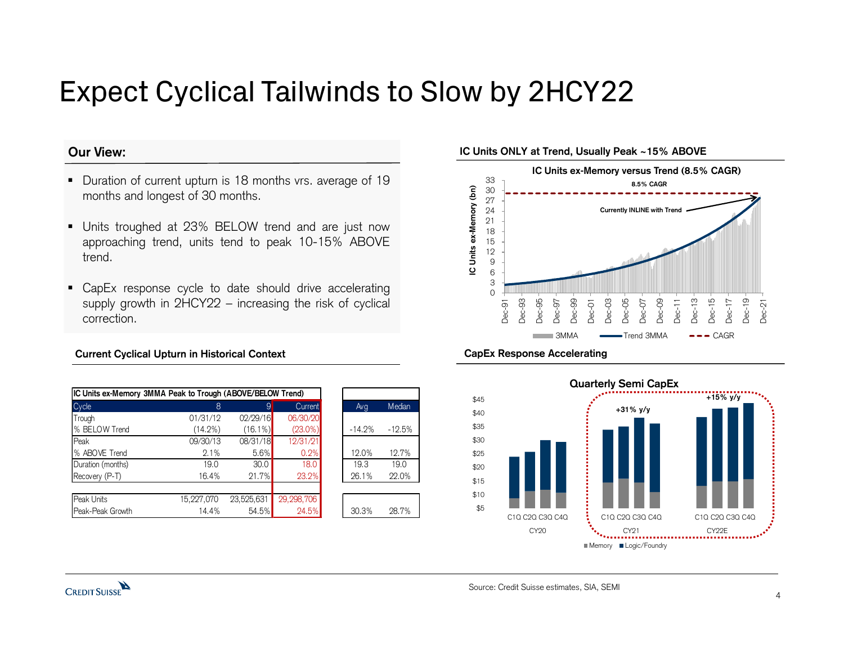## Expect Cyclical Tailwinds to Slow by 2HCY22 Expect Cyclical Tailwinds to Slow by 2<br>
Our View:<br>
Duration of current upturn is 18 months vrs. average of 19<br>
months and longest of 30 months.<br>
Example:<br>  $\frac{1}{27}$ Expect Cyclical Tailwinds to Slow by 2<br>
our View:<br>
• Duration of current upturn is 18 months vrs. average of 19<br>
months and longest of 30 months.<br>
• Units troughed at 23% BELOW trend and are just now<br>
approaching trend, u

## Our View:

- 
- **ar View:**<br>
Duration of current upturn is 18 months vrs. average of 19<br>
months and longest of 30 months.<br>
Units troughed at 23% BELOW trend and are just now<br>
approaching trend, units tend to peak 10-15% ABOVE<br>
trend.<br>  $\frac$ trend.
- Duration of current upturn is 18 months vrs. average of 19<br>
months and longest of 30 months.<br>
 Units troughed at 23% BELOW trend and are just now<br>
approaching trend, units tend to peak 10-15% ABOVE<br>
trend.<br>
 CapEx res Duration of current upturn is 18 months vrs. average of 19<br>
months and longest of 30 months.<br>
Units troughed at 23% BELOW trend and are just now<br>
approaching trend, units tend to peak 10-15% ABOVE<br>
trend.<br>
CapEx response correction.

## Current Cyclical Upturn in Historical Context

| CapEx response cycle to date should drive accelerating<br>supply growth in 2HCY22 – increasing the risk of cyclical<br>correction. |            |                |                |                      | 3<br>$\Omega$<br>$Dec-95$<br>Dec-93<br>Dec-97<br>$Dec-91$ |
|------------------------------------------------------------------------------------------------------------------------------------|------------|----------------|----------------|----------------------|-----------------------------------------------------------|
| <b>Current Cyclical Upturn in Historical Context</b>                                                                               |            |                |                |                      | CapEx Response Ac                                         |
| IC Units ex-Memory 3MMA Peak to Trough (ABOVE/BELOW Trend)                                                                         |            |                |                |                      | \$45                                                      |
| Cycle                                                                                                                              | 8          | $\overline{9}$ | <b>Current</b> | Median<br>Avg        |                                                           |
| Trough                                                                                                                             | 01/31/12   | 02/29/16       | 06/30/20       |                      | \$40                                                      |
| % BELOW Trend                                                                                                                      | $(14.2\%)$ | $(16.1\%)$     | $(23.0\%)$     | $-12.5%$<br>$-14.2%$ | \$35                                                      |
| Peak                                                                                                                               | 09/30/13   | 08/31/18       | 12/31/21       |                      | \$30                                                      |
| % ABOVE Trend                                                                                                                      | 2.1%       | 5.6%           | 0.2%           | 12.0%<br>12.7%       | \$25                                                      |
| Duration (months)                                                                                                                  | 19.0       | 30.0           | 18.0           | 19.3<br>19.0         | \$20                                                      |
| Recovery (P-T)                                                                                                                     | 16.4%      | 21.7%          | 23.2%          | 26.1%<br>22.0%       | \$15                                                      |
| Peak Units                                                                                                                         | 15,227,070 | 23,525,631     | 29,298,706     |                      | \$10                                                      |
| Peak-Peak Growth                                                                                                                   | 14.4%      | 54.5%          | 24.5%          | 30.3%<br>28.7%       | \$5<br>C10 C20 C30 C4                                     |
|                                                                                                                                    |            |                |                |                      | CY20                                                      |

| Avg      | Median   |
|----------|----------|
| $-14.2%$ | $-12.5%$ |
|          |          |
| 12.0%    | 12.7%    |
| 19.3     | 19.0     |
| 26.1%    | 22.0%    |
|          |          |
| 30 3%    | 28 7%    |

## IC Units ONLY at Trend, Usually Peak ~15% ABOVE





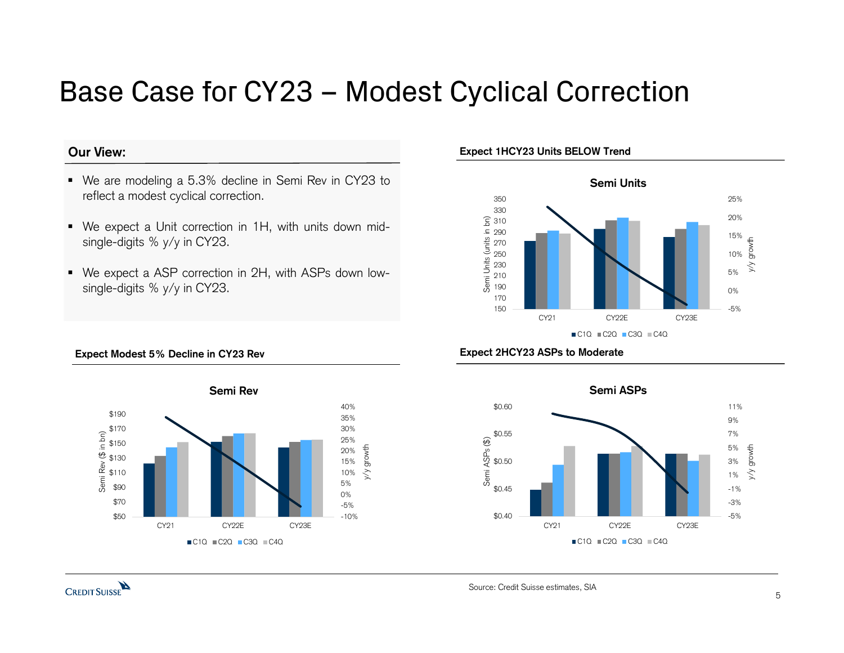# Base Case for CY23 – Modest Cyclical Correction Base Case for CY23 - Modest Cyclical<br>
Our View:<br>
We are modeling a 5.3% decline in Semi Rev in CY23 to<br>
reflect a modest cyclical correction. **Base Case for CY23 — Modest Cyclica**<br> **Our View:**<br>
• We are modeling a 5.3% decline in Semi Rev in CY23 to<br>
reflect a modest cyclical correction.<br>
• We expect a Unit correction in 1H, with units down mid-<br>
single-digits

## Our View:

- 
- 
- **Single-digits water with CY23.**<br>
Single-digits % y/y in CY23. **Expect 1HCY23**<br>
Ne expect a Unit correction in 1H, with units down mid-<br>
Single-digits % y/y in CY23.<br>
Ne expect a ASP correction in 2H, with ASPs down low-<br> We are modeling a 5.3% decline in Semi Rev in CY2<br>reflect a modest cyclical correction.<br>We expect a Unit correction in 1H, with units down<br>single-digits % y/y in CY23.<br>We expect a ASP correction in 2H, with ASPs down<br>singl

## Expect 1HCY23 Units BELOW Trend



## Expect Modest 5% Decline in CY23 Rev



## Expect 2HCY23 ASPs to Moderate



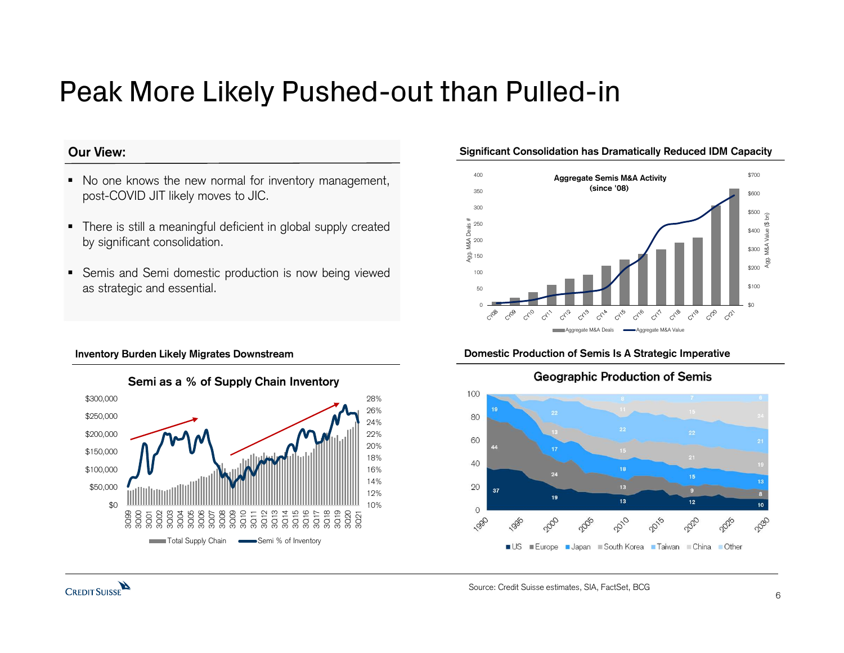## Peak More Likely Pushed-out than Pulled-in **Peak More Likely Pushed-out than**<br>
Our View:<br>
No one knows the new normal for inventory management,<br>
post-COVID JIT likely moves to JIC. **Peak More Likely Pushed-out than P**<br> **Pour View:**<br>
• No one knows the new normal for inventory management,<br>
post-COVID JIT likely moves to JIC.<br>
• There is still a meaningful deficient in global supply created<br>
by signifi

## Our View:

CREDIT SUISSE

- 
- 
- 

## Inventory Burden Likely Migrates Downstream



## Significant Consolidation has Dramatically Reduced IDM Capacity



## Domestic Production of Semis Is A Strategic Imperative



**Geographic Production of Semis** 

Source: Credit Suisse estimates, SIA, FactSet, BCG

6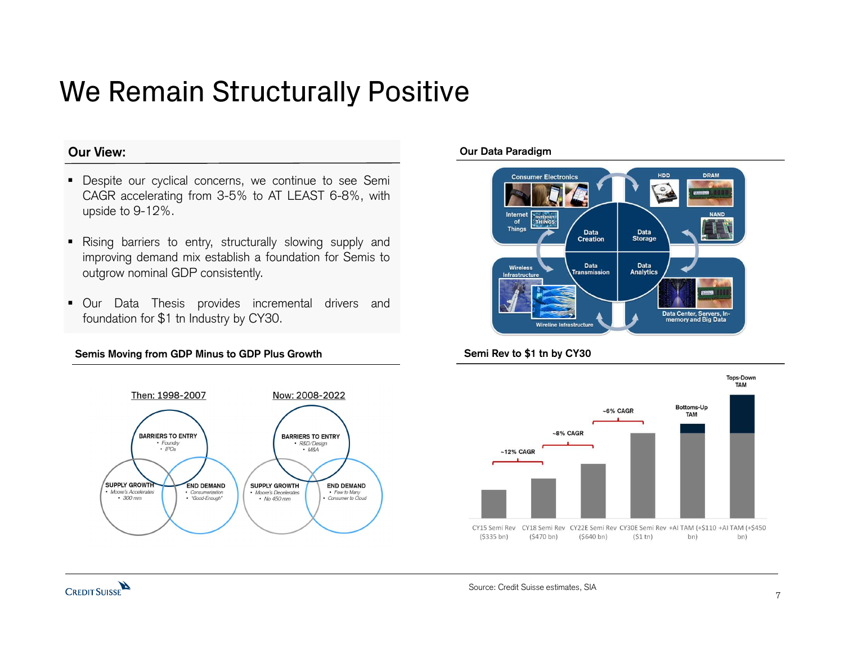## We Remain Structurally Positive

## Our View:

- *Ne* Remain Structurally Positive<br>
Our View:<br>
Despite our cyclical concerns, we continue to see Semi<br>
CAGR accelerating from 3-5% to AT LEAST 6-8%, with<br>
upside to 9-12%. Ve Remain Structurally Positive<br>
In View:<br>
Despite our cyclical concerns, we continue to see Semi<br>
CAGR accelerating from 3-5% to AT LEAST 6-8%, with<br>
upside to 9-12%. **EXEMBY STRUCTUTALLY POSITIVE**<br> **Our View:**<br>
• Despite our cyclical concerns, we continue to see Semi<br>
CAGR accelerating from 3-5% to AT LEAST 6-8%, with<br>
upside to 9-12%.<br>
• Rising barriers to entry, structurally slowing **IF View:**<br>
Despite our cyclical concerns, we continue to see Semi<br>
CAGR accelerating from 3-5% to AT LEAST 6-8%, with<br>
upside to 9-12%.<br>
Rising barriers to entry, structurally slowing supply and<br>
improving demand mix esta **Our View:**<br>
CAGR accelerating from 3-5% to AT LEAST 6-8%, with<br>
upside to 9-12%.<br>
Fising barriers to entry, structurally slowing supply and<br>
interval incremental drivers and<br>
contgrow nominal GDP consistently.<br>
Our Data T
- CAGR accelerating from 3-5% to AT LEAST 6-8%, with<br>upside to 9-12%.<br>Rising barriers to entry, structurally slowing supply and<br>improving demand mix establish a foundation for Semis to<br>outgrow nominal GDP consistently.<br>Our D
- 

## Semis Moving from GDP Minus to GDP Plus Growth



## Our Data Paradigm





CREDIT SUISSE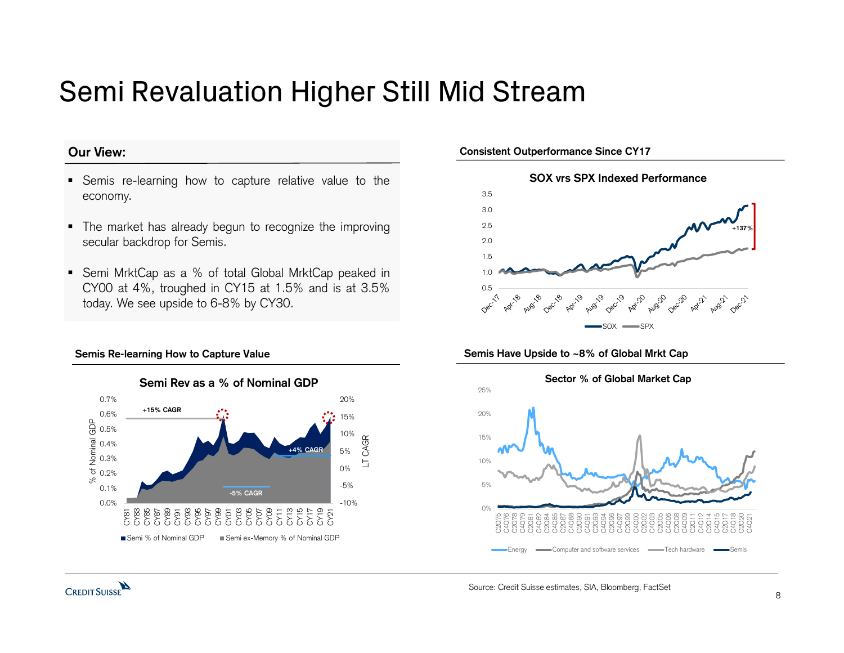## Semi Revaluation Higher Still Mid Stream Semi Revaluation Higher Still Mid Stre<br>
Nour View:<br>
Semis re-learning how to capture relative value to the<br>
economy.

## Our View:

- economy. OUT View:<br>
• Semis re-learning how to capture relative value to the<br>
• The market has already begun to recognize the improving<br>
• The market has already begun to recognize the improving<br>
• Secular backdrop for Semis.<br>
• 1.
- 
- **Semis re-learning how to capture relative value to the**<br> **sox**<br> **economy.**<br> **The market has already begun to recognize the improving<br>
secular backdrop for Semis.<br>
<b>Semi MrktCap as a** % of total Global MrktCap peaked in<br> Semis re-learning how to capture relative value to the<br>economy.<br>The market has already begun to recognize the improving<br>secular backdrop for Semis.<br>Semi MrktCap as a % of total Global MrktCap peaked in<br>CY00 at 4%, troughed Semis re-learning how to capture relative value to the economy.<br>The market has already begun to recognize the improving<br>secular backdrop for Semis.<br>Semi MrktCap as a % of total Global MrktCap peaked in<br>CY00 at 4%, troughed

## Semis Re-learning How to Capture Value



## Consistent Outperformance Since CY17





## Source: Credit Suisse estimates, SIA, Bloomberg, FactSet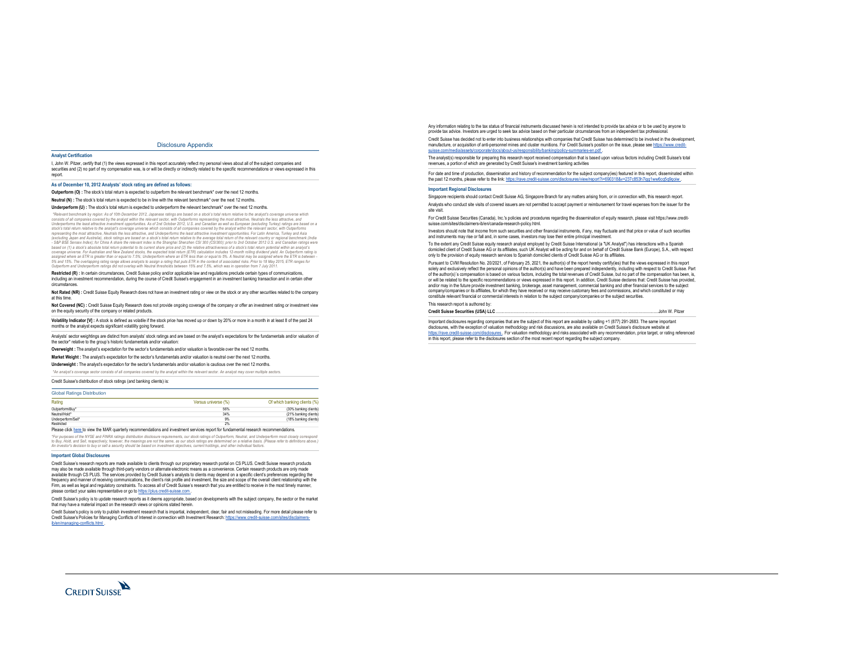## Disclosure Appendix

## Analyst Certification

I, John W. Pitzer, certify that (1) the views expressed in this report accurately reflect my personal views about all of the subject companies and<br>securities and (2) no part of my compensation was, is or will be directly o

As of December 10, 2012 Analysts' stock rating are defined as follows:<br>Outperform (O) : The stock's total return is expected to outperform the relevant benchmark\* over the next 12 months.

Neutral (N) : The stock's total return is expected to be in line with the relevant benchmark\* over the next 12 months.

Underperform (U) : The stock's total return is expected to underperform the relevant benchmark\* over the next 12 months.

"Peievant benchmark by region: As of 10th December 2012, Japanese nations consists of all compariso coverage universal by the analyst within the relievant sector, with Outperforms representing the most all racing to excee 5% and 15%. The overlapping rating range allows analysts to assign a rating that puts ETR in the context of associated risks. Prior to 18 May 2015, ETR ranges for<br>Outperform and Underperform ratings did not overlap with Ne

## Restricted (R) : In certain circumstances, Credit Suisse policy and/or applicable law and regulations preclude certain types of communications. including an investment recommendation, during the course of Credit Suisse's engagement in an investment banking transaction and in certain other circumstances.

Not Rated (NR) : Credit Suisse Equity Research does not have an investment rating or view on the stock or any other securities related to the company at this time.

Not Covered (NC) : Credit Suisse Equity Research does not provide ongoing coverage of the company or offer an investment rating or investment view<br>on the equity security of the company or related products.

Volatility Indicator [V] : A stock is defined as volatile if the stock price has moved up or down by 20% or more in a month in at least 8 of the past 24 months or the analyst expects significant volatility going forward.<br>A

the sector\* relative to the group's historic fundamentals and/or valuation:

Overweight : The analyst's expectation for the sector's fundamentals and/or valuation is favorable over the next 12 months.

Market Weight : The analyst's expectation for the sector's fundamentals and/or valuation is neutral over the next 12 months.

Underweight : The analyst's expectation for the sector's fundamentals and/or valuation is cautious over the next 12 months.

\*An analyst's coverage sector consists of all companies covered by the analyst within the relevant sector. An analyst may cover multiple sectors.

## Credit Suisse's distribution of stock ratings (and banking clients) is:

| <b>Global Ratings Distribution</b> |                     |                              |
|------------------------------------|---------------------|------------------------------|
| Rating                             | Versus universe (%) | Of which banking clients (%) |
| Outperform/Buy*                    | 56%                 | (30% banking clients)        |
| Neutral/Hold*                      | 34%                 | (21% banking clients)        |
| Underperform/Sell*                 | 9%                  | (18% banking clients)        |

## Restricted<br>Please click here to view the MAR quarterly recommendations and investment services report for fundamental research recommendations.

"For purposes of the NYSE and FINRA ratings distribution disclosure requirements, cur stock ratings of Outperform, Neutral, and Underperform most closely correspond<br>to Buy, Hold, and Sell, respectively, however, the meanin

## Important Global Disclosures

Credit Suisse's research reports are made available to clients through our proprietary research portal on CS PLUS. Credit Suisse research products<br>may also be made available through third-party wendors or alternate electro frequency and manner of receiving communications, the client's risk profile and investment, the size and scope of the overall client relationship with the<br>Firm, as well as legal and regulatory constraints. To access all of

Credit Suisse's policy is only to publish investment research that is impartial, independent, clear, fair and not misleading. For more detail please refer to<br>Credit Suisse's Policies for Managing Conflicts of Interest in c ib/en/managing-conflicts.html .

Any information relating to the lax status of financial instruments discussed herein is not intended to provide tax advice or to be used by anyone to<br>provide tax advice. Investions are urged to seek tax advice based on the

The analyst(s) responsible for preparing this research report received compensation that is based upon various factors including Credit Suisse's total<br>revenues, a portion of which are generated by Credit Suisse's investmen

the past 12 months, please refer to the link: https://rave.credit-suisse.com/disclosures/view/report?i=690318&v=237c853h7igg1ww6cq5q9qoiw .

## Important Regional Disclosures

Singapore recipients should contact Credit Suisse AG, Singapore Branch for any matters arising from, or in connection with, this research report.<br>Analysts who conduct site visits of covered issuers are not permitted to acc

suisse.com/sites/disclaimers-ib/en/canada-research-policy.html.

livestors should note that income from such securities and other financial instruments, if any, may fluctuate and that price or value of such securities<br>and instruments may rise or fall and, in some cases, investors may lo

Credit Suisse Securities (USA) LLC ................................................................................................................................................... John W. Pitzer

Important disclosures regarding companies that are the subject of this report are available by calling +1 (877) 291-2683. The same important<br>disclosures, with the exception of valuation methodology and risk discussions, ar in this report, please refer to the disclosures section of the most recent report regarding the subject company.